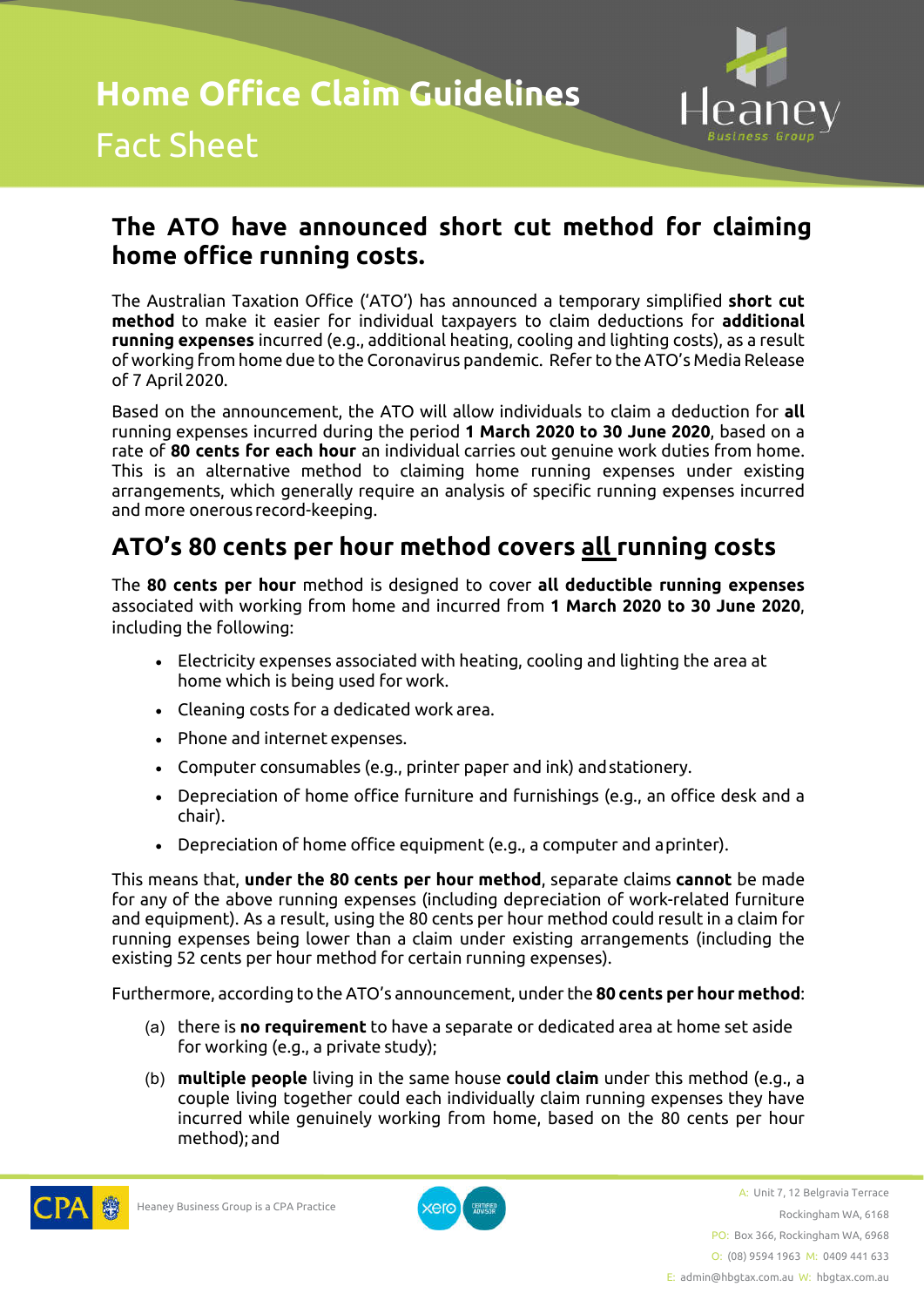

## **The ATO have announced short cut method for claiming home office running costs.**

The Australian Taxation Office ('ATO') has announced a temporary simplified **short cut method** to make it easier for individual taxpayers to claim deductions for **additional running expenses** incurred (e.g., additional heating, cooling and lighting costs), as a result of working from home due to the Coronavirus pandemic. Refer to the ATO's Media Release of 7 April 2020.

Based on the announcement, the ATO will allow individuals to claim a deduction for **all**  running expenses incurred during the period **1 March 2020 to 30 June 2020**, based on a rate of **80 cents for each hour** an individual carries out genuine work duties from home. This is an alternative method to claiming home running expenses under existing arrangements, which generally require an analysis of specific running expenses incurred and more onerous record-keeping.

## **ATO's 80 cents per hour method covers all running costs**

The **80 cents per hour** method is designed to cover **all deductible running expenses**  associated with working from home and incurred from **1 March 2020 to 30 June 2020**, including the following:

- Electricity expenses associated with heating, cooling and lighting the area at home which is being used for work.
- Cleaning costs for a dedicated work area.
- Phone and internet expenses.
- Computer consumables (e.g., printer paper and ink) and stationery.
- Depreciation of home office furniture and furnishings (e.g., an office desk and a chair).
- Depreciation of home office equipment (e.g., a computer and a printer).

This means that, **under the 80 cents per hour method**, separate claims **cannot** be made for any of the above running expenses (including depreciation of work-related furniture and equipment). As a result, using the 80 cents per hour method could result in a claim for running expenses being lower than a claim under existing arrangements (including the existing 52 cents per hour method for certain running expenses).

Furthermore, according to the ATO's announcement, under the **80 cents per hour method**:

- (a) there is **no requirement** to have a separate or dedicated area at home set aside for working (e.g., a private study);
- (b) **multiple people** living in the same house **could claim** under this method (e.g., a couple living together could each individually claim running expenses they have incurred while genuinely working from home, based on the 80 cents per hour method); and